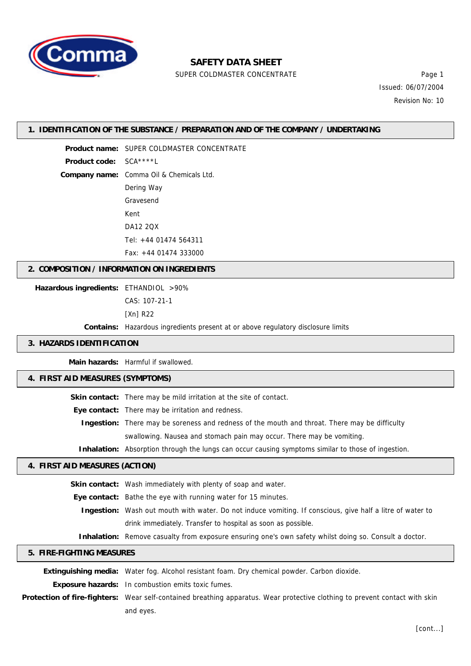

# **SAFETY DATA SHEET**

SUPER COLDMASTER CONCENTRATE FOR THE Page 1

Issued: 06/07/2004 Revision No: 10

### **1. IDENTIFICATION OF THE SUBSTANCE / PREPARATION AND OF THE COMPANY / UNDERTAKING**

**Product name:** SUPER COLDMASTER CONCENTRATE **Product code:** SCA\*\*\*\*L **Company name:** Comma Oil & Chemicals Ltd. Dering Way Gravesend Kent DA12 2QX Tel: +44 01474 564311 Fax: +44 01474 333000

## **2. COMPOSITION / INFORMATION ON INGREDIENTS**

**Hazardous ingredients:** ETHANDIOL >90%

CAS: 107-21-1

[Xn] R22

**Contains:** Hazardous ingredients present at or above regulatory disclosure limits

### **3. HAZARDS IDENTIFICATION**

**Main hazards:** Harmful if swallowed.

## **4. FIRST AID MEASURES (SYMPTOMS)**

Skin contact: There may be mild irritation at the site of contact. **Eye contact:** There may be irritation and redness. **Ingestion:** There may be soreness and redness of the mouth and throat. There may be difficulty swallowing. Nausea and stomach pain may occur. There may be vomiting. **Inhalation:** Absorption through the lungs can occur causing symptoms similar to those of ingestion.

### **4. FIRST AID MEASURES (ACTION)**

| <b>Skin contact:</b> Wash immediately with plenty of soap and water.                                             |  |
|------------------------------------------------------------------------------------------------------------------|--|
| <b>Eye contact:</b> Bathe the eye with running water for 15 minutes.                                             |  |
| <b>Ingestion:</b> Wash out mouth with water. Do not induce vomiting. If conscious, give half a litre of water to |  |
| drink immediately. Transfer to hospital as soon as possible.                                                     |  |
| <b>Inhalation:</b> Remove casualty from exposure ensuring one's own safety whilst doing so. Consult a doctor.    |  |

### **5. FIRE-FIGHTING MEASURES**

**Extinguishing media:** Water fog. Alcohol resistant foam. Dry chemical powder. Carbon dioxide. **Exposure hazards:** In combustion emits toxic fumes. **Protection of fire-fighters:** Wear self-contained breathing apparatus. Wear protective clothing to prevent contact with skin and eyes.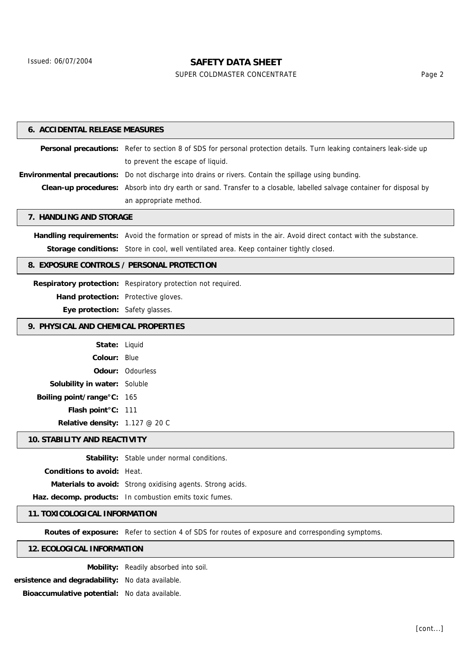# **SAFETY DATA SHEET**

SUPER COLDMASTER CONCENTRATE FOR THE Page 2

| <b>6. ACCIDENTAL RELEASE MEASURES</b>      |                                                                                                                        |  |  |  |
|--------------------------------------------|------------------------------------------------------------------------------------------------------------------------|--|--|--|
|                                            | Personal precautions: Refer to section 8 of SDS for personal protection details. Turn leaking containers leak-side up  |  |  |  |
|                                            | to prevent the escape of liquid.                                                                                       |  |  |  |
|                                            | Environmental precautions: Do not discharge into drains or rivers. Contain the spillage using bunding.                 |  |  |  |
|                                            | Clean-up procedures: Absorb into dry earth or sand. Transfer to a closable, labelled salvage container for disposal by |  |  |  |
|                                            | an appropriate method.                                                                                                 |  |  |  |
| 7. HANDLING AND STORAGE                    |                                                                                                                        |  |  |  |
|                                            | Handling requirements: Avoid the formation or spread of mists in the air. Avoid direct contact with the substance.     |  |  |  |
|                                            | Storage conditions: Store in cool, well ventilated area. Keep container tightly closed.                                |  |  |  |
| 8. EXPOSURE CONTROLS / PERSONAL PROTECTION |                                                                                                                        |  |  |  |
|                                            | Respiratory protection: Respiratory protection not required.                                                           |  |  |  |
| Hand protection: Protective gloves.        |                                                                                                                        |  |  |  |
| Eye protection: Safety glasses.            |                                                                                                                        |  |  |  |
| 9. PHYSICAL AND CHEMICAL PROPERTIES        |                                                                                                                        |  |  |  |
| State: Liquid                              |                                                                                                                        |  |  |  |
| <b>Colour: Blue</b>                        |                                                                                                                        |  |  |  |
|                                            | <b>Odour: Odourless</b>                                                                                                |  |  |  |
| Solubility in water: Soluble               |                                                                                                                        |  |  |  |
| Boiling point/range°C: 165                 |                                                                                                                        |  |  |  |
| Flash point°C: 111                         |                                                                                                                        |  |  |  |
| Relative density: 1.127 @ 20 C             |                                                                                                                        |  |  |  |
| <b>10. STABILITY AND REACTIVITY</b>        |                                                                                                                        |  |  |  |
|                                            | Stability: Stable under normal conditions.                                                                             |  |  |  |
| Conditions to avoid: Heat.                 |                                                                                                                        |  |  |  |
|                                            | Materials to avoid: Strong oxidising agents. Strong acids.                                                             |  |  |  |
|                                            | Haz. decomp. products: In combustion emits toxic fumes.                                                                |  |  |  |

## **11. TOXICOLOGICAL INFORMATION**

**Routes of exposure:** Refer to section 4 of SDS for routes of exposure and corresponding symptoms.

### **12. ECOLOGICAL INFORMATION**

**Mobility:** Readily absorbed into soil.

**Persistence and degradability:** No data available.

**Bioaccumulative potential:** No data available.